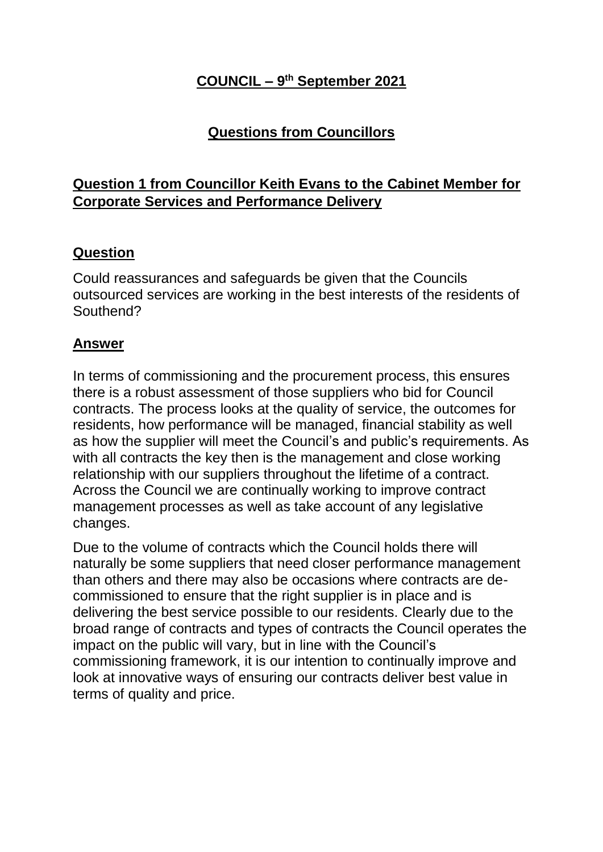## **COUNCIL – 9 th September 2021**

## **Questions from Councillors**

## **Question 1 from Councillor Keith Evans to the Cabinet Member for Corporate Services and Performance Delivery**

#### **Question**

Could reassurances and safeguards be given that the Councils outsourced services are working in the best interests of the residents of Southend?

#### **Answer**

In terms of commissioning and the procurement process, this ensures there is a robust assessment of those suppliers who bid for Council contracts. The process looks at the quality of service, the outcomes for residents, how performance will be managed, financial stability as well as how the supplier will meet the Council's and public's requirements. As with all contracts the key then is the management and close working relationship with our suppliers throughout the lifetime of a contract. Across the Council we are continually working to improve contract management processes as well as take account of any legislative changes.

Due to the volume of contracts which the Council holds there will naturally be some suppliers that need closer performance management than others and there may also be occasions where contracts are decommissioned to ensure that the right supplier is in place and is delivering the best service possible to our residents. Clearly due to the broad range of contracts and types of contracts the Council operates the impact on the public will vary, but in line with the Council's commissioning framework, it is our intention to continually improve and look at innovative ways of ensuring our contracts deliver best value in terms of quality and price.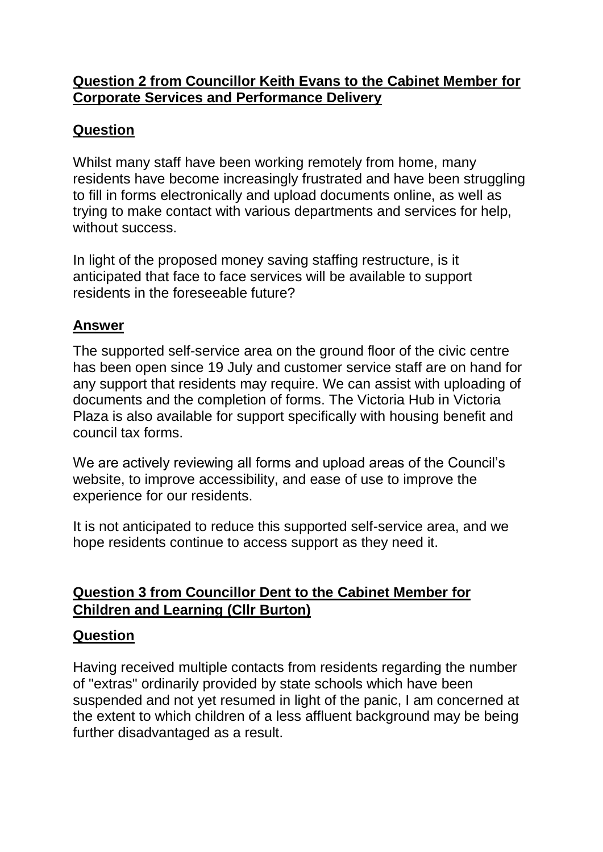### **Question 2 from Councillor Keith Evans to the Cabinet Member for Corporate Services and Performance Delivery**

## **Question**

Whilst many staff have been working remotely from home, many residents have become increasingly frustrated and have been struggling to fill in forms electronically and upload documents online, as well as trying to make contact with various departments and services for help, without success.

In light of the proposed money saving staffing restructure, is it anticipated that face to face services will be available to support residents in the foreseeable future?

### **Answer**

The supported self-service area on the ground floor of the civic centre has been open since 19 July and customer service staff are on hand for any support that residents may require. We can assist with uploading of documents and the completion of forms. The Victoria Hub in Victoria Plaza is also available for support specifically with housing benefit and council tax forms.

We are actively reviewing all forms and upload areas of the Council's website, to improve accessibility, and ease of use to improve the experience for our residents.

It is not anticipated to reduce this supported self-service area, and we hope residents continue to access support as they need it.

### **Question 3 from Councillor Dent to the Cabinet Member for Children and Learning (Cllr Burton)**

### **Question**

Having received multiple contacts from residents regarding the number of "extras" ordinarily provided by state schools which have been suspended and not yet resumed in light of the panic, I am concerned at the extent to which children of a less affluent background may be being further disadvantaged as a result.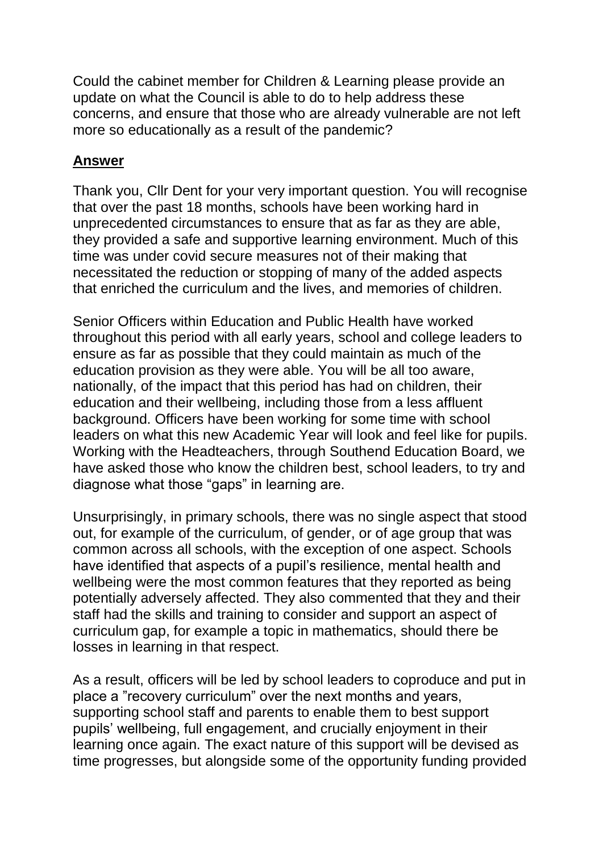Could the cabinet member for Children & Learning please provide an update on what the Council is able to do to help address these concerns, and ensure that those who are already vulnerable are not left more so educationally as a result of the pandemic?

#### **Answer**

Thank you, Cllr Dent for your very important question. You will recognise that over the past 18 months, schools have been working hard in unprecedented circumstances to ensure that as far as they are able, they provided a safe and supportive learning environment. Much of this time was under covid secure measures not of their making that necessitated the reduction or stopping of many of the added aspects that enriched the curriculum and the lives, and memories of children.

Senior Officers within Education and Public Health have worked throughout this period with all early years, school and college leaders to ensure as far as possible that they could maintain as much of the education provision as they were able. You will be all too aware, nationally, of the impact that this period has had on children, their education and their wellbeing, including those from a less affluent background. Officers have been working for some time with school leaders on what this new Academic Year will look and feel like for pupils. Working with the Headteachers, through Southend Education Board, we have asked those who know the children best, school leaders, to try and diagnose what those "gaps" in learning are.

Unsurprisingly, in primary schools, there was no single aspect that stood out, for example of the curriculum, of gender, or of age group that was common across all schools, with the exception of one aspect. Schools have identified that aspects of a pupil's resilience, mental health and wellbeing were the most common features that they reported as being potentially adversely affected. They also commented that they and their staff had the skills and training to consider and support an aspect of curriculum gap, for example a topic in mathematics, should there be losses in learning in that respect.

As a result, officers will be led by school leaders to coproduce and put in place a "recovery curriculum" over the next months and years, supporting school staff and parents to enable them to best support pupils' wellbeing, full engagement, and crucially enjoyment in their learning once again. The exact nature of this support will be devised as time progresses, but alongside some of the opportunity funding provided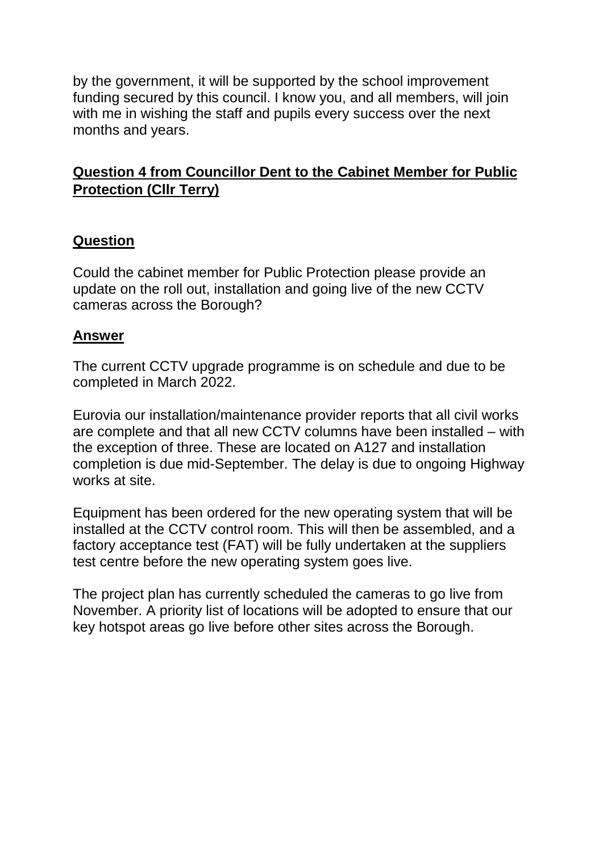by the government, it will be supported by the school improvement funding secured by this council. I know you, and all members, will join with me in wishing the staff and pupils every success over the next months and years.

### **Question 4 from Councillor Dent to the Cabinet Member for Public Protection (Cllr Terry)**

#### **Question**

Could the cabinet member for Public Protection please provide an update on the roll out, installation and going live of the new CCTV cameras across the Borough?

#### **Answer**

The current CCTV upgrade programme is on schedule and due to be completed in March 2022.

Eurovia our installation/maintenance provider reports that all civil works are complete and that all new CCTV columns have been installed – with the exception of three. These are located on A127 and installation completion is due mid-September. The delay is due to ongoing Highway works at site.

Equipment has been ordered for the new operating system that will be installed at the CCTV control room. This will then be assembled, and a factory acceptance test (FAT) will be fully undertaken at the suppliers test centre before the new operating system goes live.

The project plan has currently scheduled the cameras to go live from November. A priority list of locations will be adopted to ensure that our key hotspot areas go live before other sites across the Borough.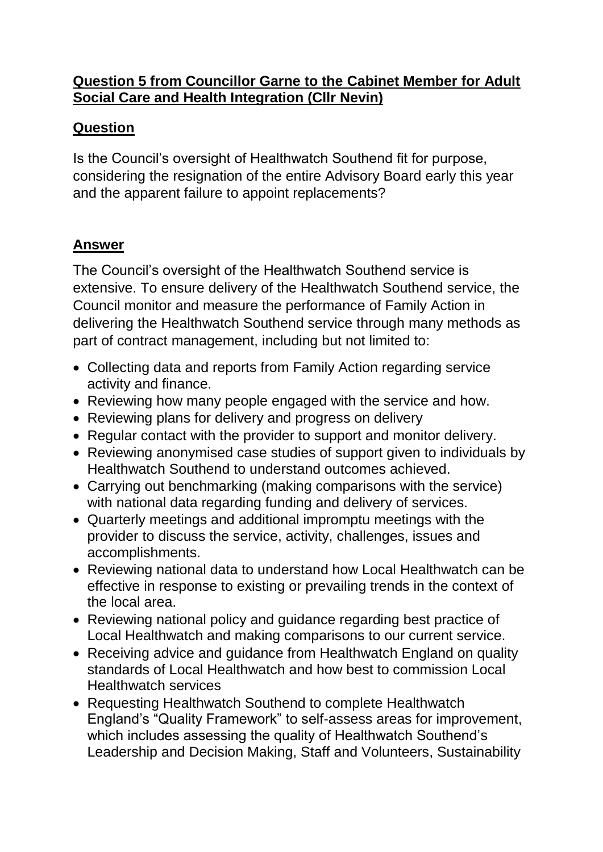### **Question 5 from Councillor Garne to the Cabinet Member for Adult Social Care and Health Integration (Cllr Nevin)**

## **Question**

Is the Council's oversight of Healthwatch Southend fit for purpose, considering the resignation of the entire Advisory Board early this year and the apparent failure to appoint replacements?

# **Answer**

The Council's oversight of the Healthwatch Southend service is extensive. To ensure delivery of the Healthwatch Southend service, the Council monitor and measure the performance of Family Action in delivering the Healthwatch Southend service through many methods as part of contract management, including but not limited to:

- Collecting data and reports from Family Action regarding service activity and finance.
- Reviewing how many people engaged with the service and how.
- Reviewing plans for delivery and progress on delivery
- Regular contact with the provider to support and monitor delivery.
- Reviewing anonymised case studies of support given to individuals by Healthwatch Southend to understand outcomes achieved.
- Carrying out benchmarking (making comparisons with the service) with national data regarding funding and delivery of services.
- Quarterly meetings and additional impromptu meetings with the provider to discuss the service, activity, challenges, issues and accomplishments.
- Reviewing national data to understand how Local Healthwatch can be effective in response to existing or prevailing trends in the context of the local area.
- Reviewing national policy and guidance regarding best practice of Local Healthwatch and making comparisons to our current service.
- Receiving advice and guidance from Healthwatch England on quality standards of Local Healthwatch and how best to commission Local Healthwatch services
- Requesting Healthwatch Southend to complete Healthwatch England's "Quality Framework" to self-assess areas for improvement, which includes assessing the quality of Healthwatch Southend's Leadership and Decision Making, Staff and Volunteers, Sustainability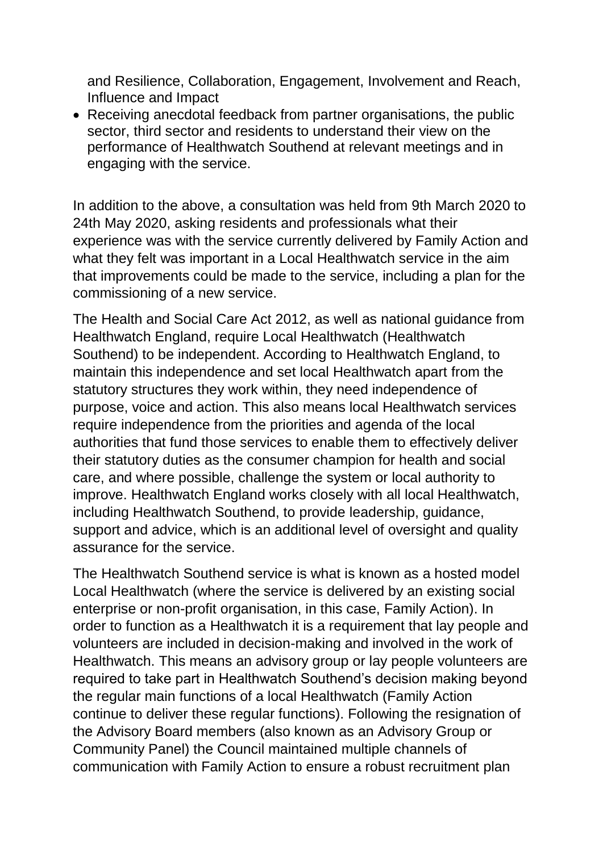and Resilience, Collaboration, Engagement, Involvement and Reach, Influence and Impact

• Receiving anecdotal feedback from partner organisations, the public sector, third sector and residents to understand their view on the performance of Healthwatch Southend at relevant meetings and in engaging with the service.

In addition to the above, a consultation was held from 9th March 2020 to 24th May 2020, asking residents and professionals what their experience was with the service currently delivered by Family Action and what they felt was important in a Local Healthwatch service in the aim that improvements could be made to the service, including a plan for the commissioning of a new service.

The Health and Social Care Act 2012, as well as national guidance from Healthwatch England, require Local Healthwatch (Healthwatch Southend) to be independent. According to Healthwatch England, to maintain this independence and set local Healthwatch apart from the statutory structures they work within, they need independence of purpose, voice and action. This also means local Healthwatch services require independence from the priorities and agenda of the local authorities that fund those services to enable them to effectively deliver their statutory duties as the consumer champion for health and social care, and where possible, challenge the system or local authority to improve. Healthwatch England works closely with all local Healthwatch, including Healthwatch Southend, to provide leadership, guidance, support and advice, which is an additional level of oversight and quality assurance for the service.

The Healthwatch Southend service is what is known as a hosted model Local Healthwatch (where the service is delivered by an existing social enterprise or non-profit organisation, in this case, Family Action). In order to function as a Healthwatch it is a requirement that lay people and volunteers are included in decision-making and involved in the work of Healthwatch. This means an advisory group or lay people volunteers are required to take part in Healthwatch Southend's decision making beyond the regular main functions of a local Healthwatch (Family Action continue to deliver these regular functions). Following the resignation of the Advisory Board members (also known as an Advisory Group or Community Panel) the Council maintained multiple channels of communication with Family Action to ensure a robust recruitment plan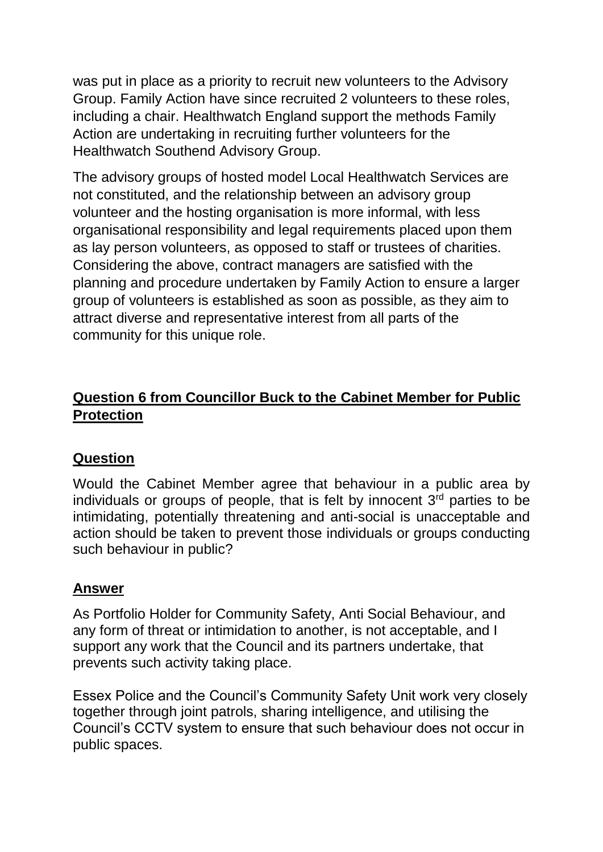was put in place as a priority to recruit new volunteers to the Advisory Group. Family Action have since recruited 2 volunteers to these roles, including a chair. Healthwatch England support the methods Family Action are undertaking in recruiting further volunteers for the Healthwatch Southend Advisory Group.

The advisory groups of hosted model Local Healthwatch Services are not constituted, and the relationship between an advisory group volunteer and the hosting organisation is more informal, with less organisational responsibility and legal requirements placed upon them as lay person volunteers, as opposed to staff or trustees of charities. Considering the above, contract managers are satisfied with the planning and procedure undertaken by Family Action to ensure a larger group of volunteers is established as soon as possible, as they aim to attract diverse and representative interest from all parts of the community for this unique role.

## **Question 6 from Councillor Buck to the Cabinet Member for Public Protection**

#### **Question**

Would the Cabinet Member agree that behaviour in a public area by individuals or groups of people, that is felt by innocent  $3<sup>rd</sup>$  parties to be intimidating, potentially threatening and anti-social is unacceptable and action should be taken to prevent those individuals or groups conducting such behaviour in public?

#### **Answer**

As Portfolio Holder for Community Safety, Anti Social Behaviour, and any form of threat or intimidation to another, is not acceptable, and I support any work that the Council and its partners undertake, that prevents such activity taking place.

Essex Police and the Council's Community Safety Unit work very closely together through joint patrols, sharing intelligence, and utilising the Council's CCTV system to ensure that such behaviour does not occur in public spaces.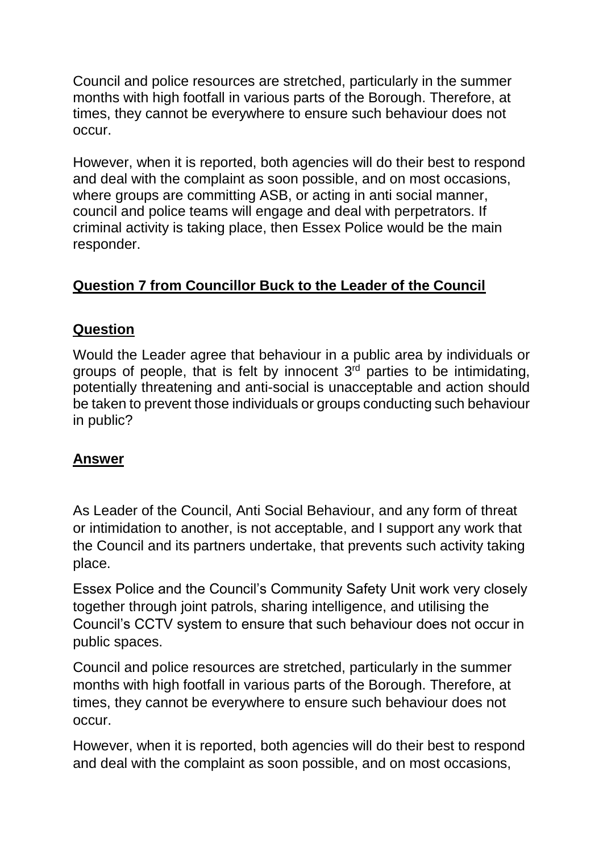Council and police resources are stretched, particularly in the summer months with high footfall in various parts of the Borough. Therefore, at times, they cannot be everywhere to ensure such behaviour does not occur.

However, when it is reported, both agencies will do their best to respond and deal with the complaint as soon possible, and on most occasions, where groups are committing ASB, or acting in anti social manner, council and police teams will engage and deal with perpetrators. If criminal activity is taking place, then Essex Police would be the main responder.

## **Question 7 from Councillor Buck to the Leader of the Council**

### **Question**

Would the Leader agree that behaviour in a public area by individuals or groups of people, that is felt by innocent  $3<sup>rd</sup>$  parties to be intimidating, potentially threatening and anti-social is unacceptable and action should be taken to prevent those individuals or groups conducting such behaviour in public?

#### **Answer**

As Leader of the Council, Anti Social Behaviour, and any form of threat or intimidation to another, is not acceptable, and I support any work that the Council and its partners undertake, that prevents such activity taking place.

Essex Police and the Council's Community Safety Unit work very closely together through joint patrols, sharing intelligence, and utilising the Council's CCTV system to ensure that such behaviour does not occur in public spaces.

Council and police resources are stretched, particularly in the summer months with high footfall in various parts of the Borough. Therefore, at times, they cannot be everywhere to ensure such behaviour does not occur.

However, when it is reported, both agencies will do their best to respond and deal with the complaint as soon possible, and on most occasions,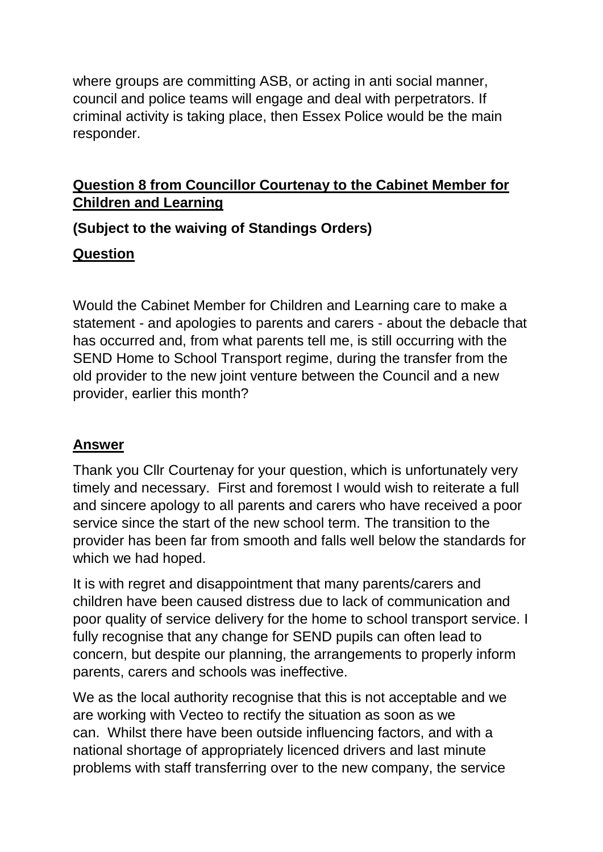where groups are committing ASB, or acting in anti social manner, council and police teams will engage and deal with perpetrators. If criminal activity is taking place, then Essex Police would be the main responder.

## **Question 8 from Councillor Courtenay to the Cabinet Member for Children and Learning**

**(Subject to the waiving of Standings Orders)**

## **Question**

Would the Cabinet Member for Children and Learning care to make a statement - and apologies to parents and carers - about the debacle that has occurred and, from what parents tell me, is still occurring with the SEND Home to School Transport regime, during the transfer from the old provider to the new joint venture between the Council and a new provider, earlier this month?

# **Answer**

Thank you Cllr Courtenay for your question, which is unfortunately very timely and necessary. First and foremost I would wish to reiterate a full and sincere apology to all parents and carers who have received a poor service since the start of the new school term. The transition to the provider has been far from smooth and falls well below the standards for which we had hoped.

It is with regret and disappointment that many parents/carers and children have been caused distress due to lack of communication and poor quality of service delivery for the home to school transport service. I fully recognise that any change for SEND pupils can often lead to concern, but despite our planning, the arrangements to properly inform parents, carers and schools was ineffective.

We as the local authority recognise that this is not acceptable and we are working with Vecteo to rectify the situation as soon as we can. Whilst there have been outside influencing factors, and with a national shortage of appropriately licenced drivers and last minute problems with staff transferring over to the new company, the service